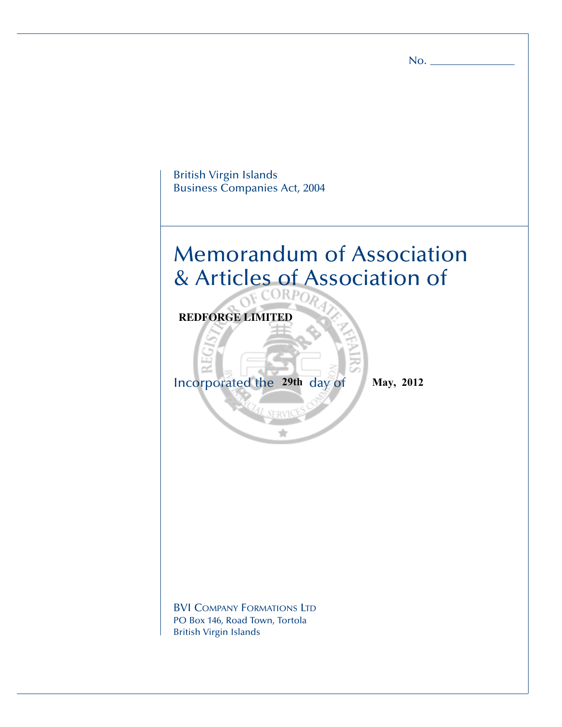British Virgin Islands Business Companies Act, 2004 Memorandum of Association & Articles of Association of Incorporated the 29th day of May, 2012 BVI COMPANY FORMATIONS LTD PO Box 146, Road Town, Tortola British Virgin Islands **REDFORGE LIMITED**

No.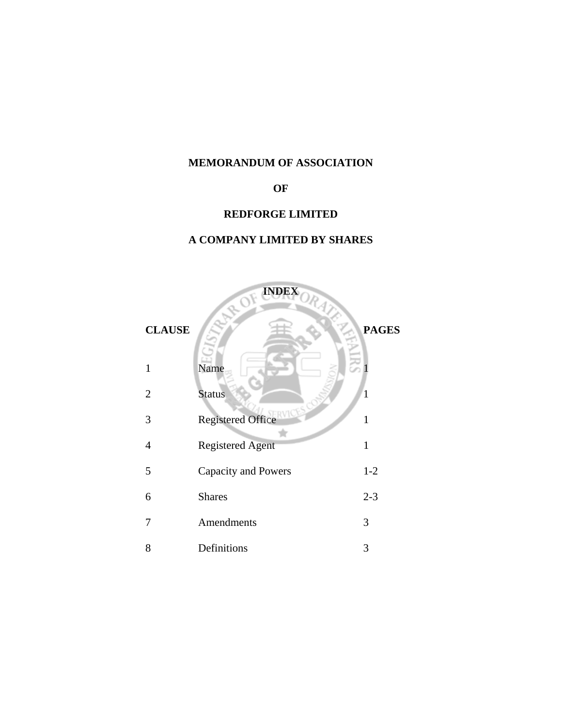# **MEMORANDUM OF ASSOCIATION**

# **OF**

# **REDFORGE LIMITED**

# **A COMPANY LIMITED BY SHARES**

|                | <b>INDEX</b><br>ADF<br>ORAZZ |              |
|----------------|------------------------------|--------------|
| <b>CLAUSE</b>  |                              | <b>PAGES</b> |
| 1              | Name                         |              |
| $\overline{2}$ | <b>Status</b>                | $\mathbf{1}$ |
| 3              | <b>Registered Office</b>     | 1            |
| 4              | <b>Registered Agent</b>      | $\mathbf{1}$ |
| 5              | <b>Capacity and Powers</b>   | $1 - 2$      |
| 6              | <b>Shares</b>                | $2 - 3$      |
| 7              | Amendments                   | 3            |
| 8              | Definitions                  | 3            |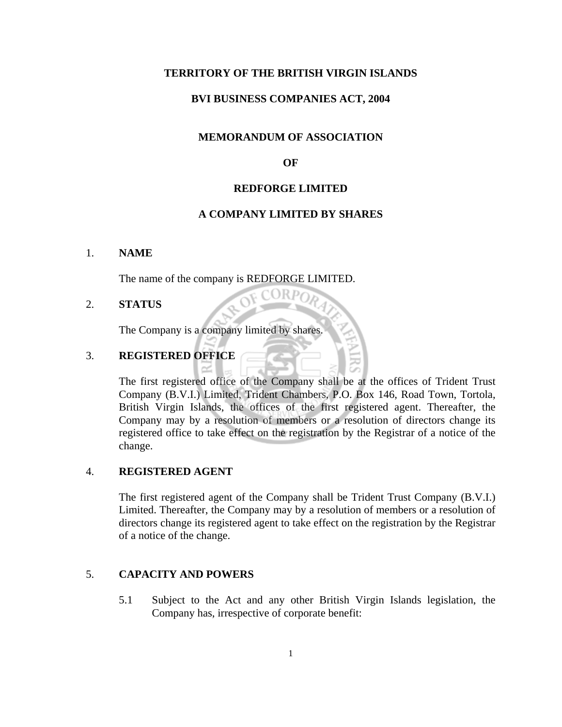#### **TERRITORY OF THE BRITISH VIRGIN ISLANDS**

#### **BVI BUSINESS COMPANIES ACT, 2004**

## **MEMORANDUM OF ASSOCIATION**

#### **OF**

## **REDFORGE LIMITED**

#### **A COMPANY LIMITED BY SHARES**

ORP

#### 1. **NAME**

The name of the company is REDFORGE LIMITED.

## 2. **STATUS**

The Company is a company limited by shares.

## 3. **REGISTERED OFFICE**

The first registered office of the Company shall be at the offices of Trident Trust Company (B.V.I.) Limited, Trident Chambers, P.O. Box 146, Road Town, Tortola, British Virgin Islands, the offices of the first registered agent. Thereafter, the Company may by a resolution of members or a resolution of directors change its registered office to take effect on the registration by the Registrar of a notice of the change.

#### 4. **REGISTERED AGENT**

The first registered agent of the Company shall be Trident Trust Company (B.V.I.) Limited. Thereafter, the Company may by a resolution of members or a resolution of directors change its registered agent to take effect on the registration by the Registrar of a notice of the change.

#### 5. **CAPACITY AND POWERS**

 5.1 Subject to the Act and any other British Virgin Islands legislation, the Company has, irrespective of corporate benefit: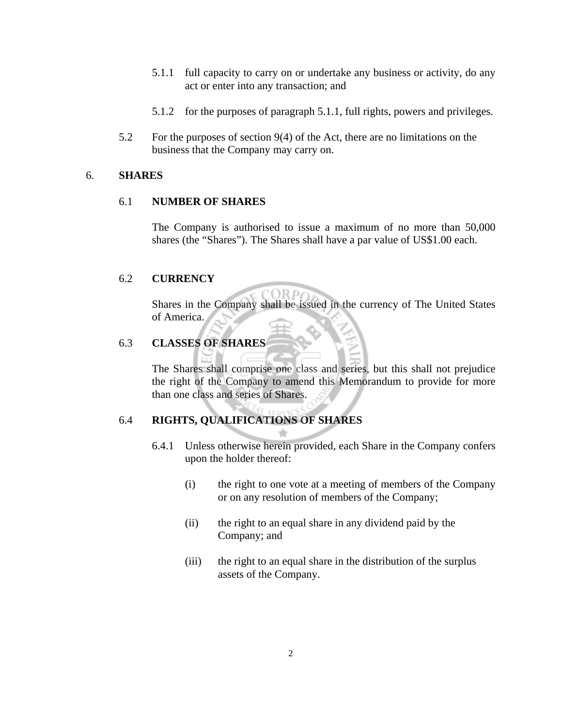- 5.1.1 full capacity to carry on or undertake any business or activity, do any act or enter into any transaction; and
- 5.1.2 for the purposes of paragraph 5.1.1, full rights, powers and privileges.
- 5.2 For the purposes of section 9(4) of the Act, there are no limitations on the business that the Company may carry on.

## 6. **SHARES**

## 6.1 **NUMBER OF SHARES**

 The Company is authorised to issue a maximum of no more than 50,000 shares (the "Shares"). The Shares shall have a par value of US\$1.00 each.

## 6.2 **CURRENCY**

 Shares in the Company shall be issued in the currency of The United States of America.

## 6.3 **CLASSES OF SHARES**

 The Shares shall comprise one class and series, but this shall not prejudice the right of the Company to amend this Memorandum to provide for more than one class and series of Shares.

## 6.4 **RIGHTS, QUALIFICATIONS OF SHARES**

- 6.4.1 Unless otherwise herein provided, each Share in the Company confers upon the holder thereof:
	- (i) the right to one vote at a meeting of members of the Company or on any resolution of members of the Company;
	- (ii) the right to an equal share in any dividend paid by the Company; and
	- (iii) the right to an equal share in the distribution of the surplus assets of the Company.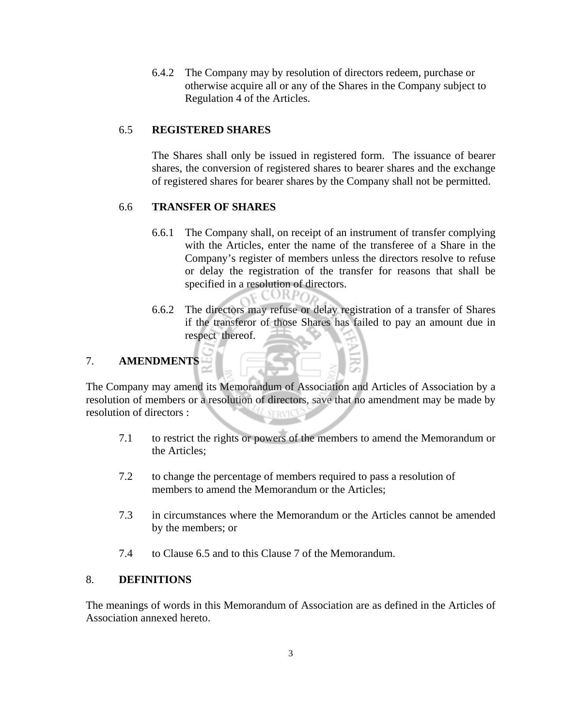6.4.2 The Company may by resolution of directors redeem, purchase or otherwise acquire all or any of the Shares in the Company subject to Regulation 4 of the Articles.

## 6.5 **REGISTERED SHARES**

 The Shares shall only be issued in registered form. The issuance of bearer shares, the conversion of registered shares to bearer shares and the exchange of registered shares for bearer shares by the Company shall not be permitted.

## 6.6 **TRANSFER OF SHARES**

- 6.6.1 The Company shall, on receipt of an instrument of transfer complying with the Articles, enter the name of the transferee of a Share in the Company's register of members unless the directors resolve to refuse or delay the registration of the transfer for reasons that shall be specified in a resolution of directors.
- 6.6.2 The directors may refuse or delay registration of a transfer of Shares if the transferor of those Shares has failed to pay an amount due in respect thereof.

# 7. **AMENDMENTS**

The Company may amend its Memorandum of Association and Articles of Association by a resolution of members or a resolution of directors, save that no amendment may be made by resolution of directors : SERVICE

- 7.1 to restrict the rights or powers of the members to amend the Memorandum or the Articles;
- 7.2 to change the percentage of members required to pass a resolution of members to amend the Memorandum or the Articles;
- 7.3 in circumstances where the Memorandum or the Articles cannot be amended by the members; or
- 7.4 to Clause 6.5 and to this Clause 7 of the Memorandum.

## 8. **DEFINITIONS**

The meanings of words in this Memorandum of Association are as defined in the Articles of Association annexed hereto.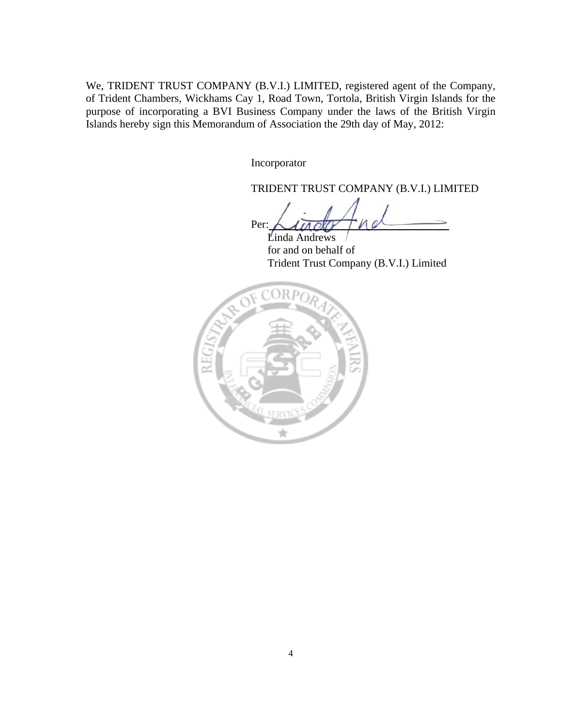We, TRIDENT TRUST COMPANY (B.V.I.) LIMITED, registered agent of the Company, of Trident Chambers, Wickhams Cay 1, Road Town, Tortola, British Virgin Islands for the purpose of incorporating a BVI Business Company under the laws of the British Virgin Islands hereby sign this Memorandum of Association the 29th day of May, 2012:

Incorporator

TRIDENT TRUST COMPANY (B.V.I.) LIMITED

Per:

 Linda Andrews for and on behalf of Trident Trust Company (B.V.I.) Limited

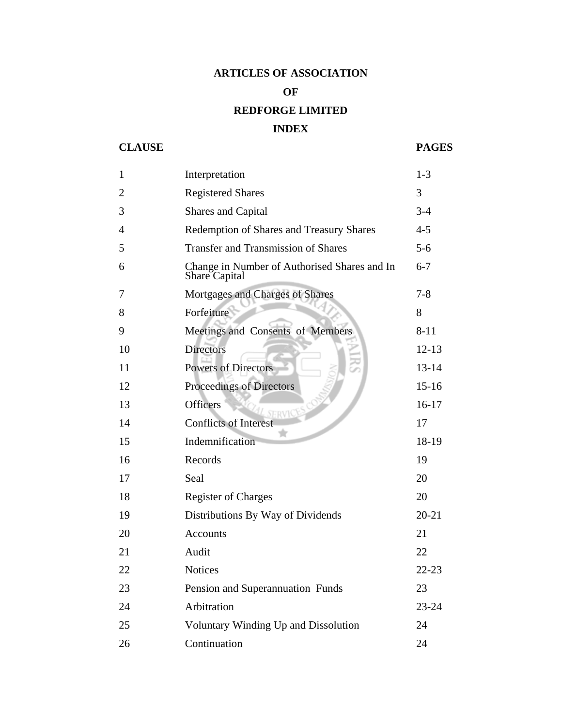# **ARTICLES OF ASSOCIATION**

## **OF**

# **REDFORGE LIMITED**

# **INDEX**

# **CLAUSE PAGES**

| $\mathbf{1}$   | Interpretation                                                | $1 - 3$   |
|----------------|---------------------------------------------------------------|-----------|
| $\overline{2}$ | <b>Registered Shares</b>                                      | 3         |
| 3              | Shares and Capital                                            | $3 - 4$   |
| $\overline{4}$ | Redemption of Shares and Treasury Shares                      | $4 - 5$   |
| 5              | <b>Transfer and Transmission of Shares</b>                    | $5-6$     |
| 6              | Change in Number of Authorised Shares and In<br>Share Capital | $6 - 7$   |
| 7              | Mortgages and Charges of Shares                               | $7 - 8$   |
| 8              | Forfeiture                                                    | 8         |
| 9              | Meetings and Consents of Members                              | $8 - 11$  |
| 10             | <b>Directors</b>                                              | $12 - 13$ |
| 11             | <b>Powers of Directors</b>                                    | $13 - 14$ |
| 12             | Proceedings of Directors                                      | $15 - 16$ |
| 13             | <b>Officers</b><br>RVIC                                       | $16-17$   |
| 14             | <b>Conflicts of Interest</b>                                  | 17        |
| 15             | Indemnification                                               | 18-19     |
| 16             | Records                                                       | 19        |
| 17             | Seal                                                          | 20        |
| 18             | <b>Register of Charges</b>                                    | 20        |
| 19             | Distributions By Way of Dividends                             | $20 - 21$ |
| 20             | <b>Accounts</b>                                               | 21        |
| 21             | Audit                                                         | 22        |
| 22             | <b>Notices</b>                                                | $22 - 23$ |
| 23             | Pension and Superannuation Funds                              | 23        |
| 24             | Arbitration                                                   | $23 - 24$ |
| 25             | Voluntary Winding Up and Dissolution                          | 24        |
| 26             | Continuation                                                  | 24        |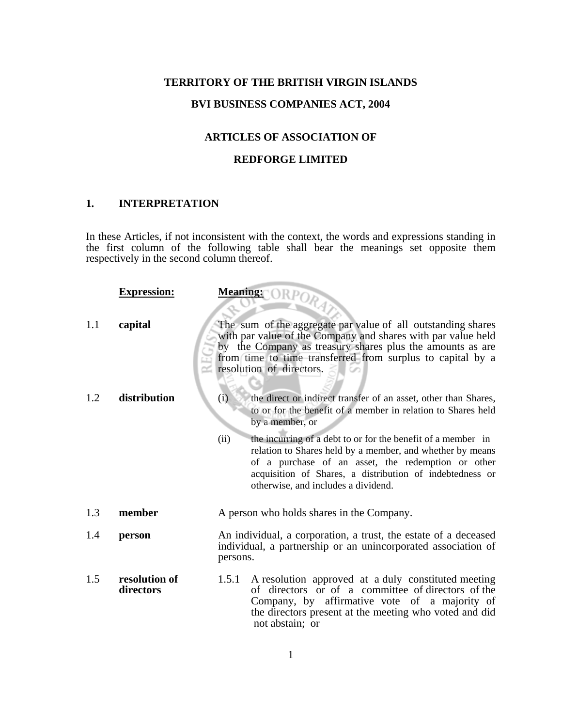## **TERRITORY OF THE BRITISH VIRGIN ISLANDS**

## **BVI BUSINESS COMPANIES ACT, 2004**

## **ARTICLES OF ASSOCIATION OF**

## **REDFORGE LIMITED**

## **1. INTERPRETATION**

In these Articles, if not inconsistent with the context, the words and expressions standing in the first column of the following table shall bear the meanings set opposite them respectively in the second column thereof.

|     | <b>Expression:</b>         | Meaning: ORPORA                                                                                                                                                                                                                                                                            |  |
|-----|----------------------------|--------------------------------------------------------------------------------------------------------------------------------------------------------------------------------------------------------------------------------------------------------------------------------------------|--|
| 1.1 | capital                    | The sum of the aggregate par value of all outstanding shares<br>with par value of the Company and shares with par value held<br>by the Company as treasury shares plus the amounts as are<br>from time to time transferred from surplus to capital by a<br>resolution of directors.        |  |
| 1.2 | distribution               | (i)<br>the direct or indirect transfer of an asset, other than Shares,<br>to or for the benefit of a member in relation to Shares held<br>by a member, or                                                                                                                                  |  |
|     |                            | the incurring of a debt to or for the benefit of a member in<br>(ii)<br>relation to Shares held by a member, and whether by means<br>of a purchase of an asset, the redemption or other<br>acquisition of Shares, a distribution of indebtedness or<br>otherwise, and includes a dividend. |  |
| 1.3 | member                     | A person who holds shares in the Company.                                                                                                                                                                                                                                                  |  |
| 1.4 | person                     | An individual, a corporation, a trust, the estate of a deceased<br>individual, a partnership or an unincorporated association of<br>persons.                                                                                                                                               |  |
| 1.5 | resolution of<br>directors | A resolution approved at a duly constituted meeting<br>1.5.1<br>of directors or of a committee of directors of the<br>Company, by affirmative vote of a majority of<br>the directors present at the meeting who voted and did<br>not abstain; or                                           |  |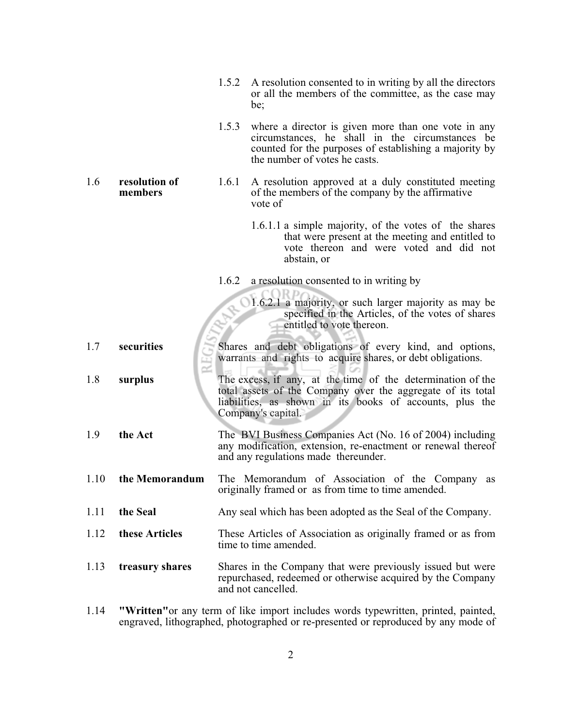| 1.5.2 A resolution consented to in writing by all the directors |
|-----------------------------------------------------------------|
| or all the members of the committee, as the case may            |
| be:                                                             |

 1.5.3 where a director is given more than one vote in any circumstances, he shall in the circumstances be counted for the purposes of establishing a majority by the number of votes he casts.

1.6 **resolution of** 1.6.1 A resolution approved at a duly constituted meeting **members** of the members of the company by the affirmative **members** of the members of the company by the affirmative vote of

> 1.6.1.1 a simple majority, of the votes of the shares that were present at the meeting and entitled to vote thereon and were voted and did not abstain, or

1.6.2 a resolution consented to in writing by

| 1.6.2.1 a majority, or such larger majority as may be |
|-------------------------------------------------------|
| specified in the Articles, of the votes of shares     |
| entitled to vote thereon.                             |
|                                                       |

1.7 **securities** Shares and debt obligations of every kind, and options, warrants and rights to acquire shares, or debt obligations.

 $C$ ORDA

- 1.8 **surplus** The excess, if any, at the time of the determination of the total assets of the Company over the aggregate of its total liabilities, as shown in its books of accounts, plus the Company's capital.
- 1.9 **the Act** The BVI Business Companies Act (No. 16 of 2004) including any modification, extension, re-enactment or renewal thereof and any regulations made thereunder.
- 1.10 **the Memorandum** The Memorandum of Association of the Company as originally framed or as from time to time amended.
- 1.11 **the Seal** Any seal which has been adopted as the Seal of the Company.
- 1.12 **these Articles** These Articles of Association as originally framed or as from time to time amended.
- 1.13 **treasury shares** Shares in the Company that were previously issued but were repurchased, redeemed or otherwise acquired by the Company and not cancelled.
- 1.14 **"Written"**or any term of like import includes words typewritten, printed, painted, engraved, lithographed, photographed or re-presented or reproduced by any mode of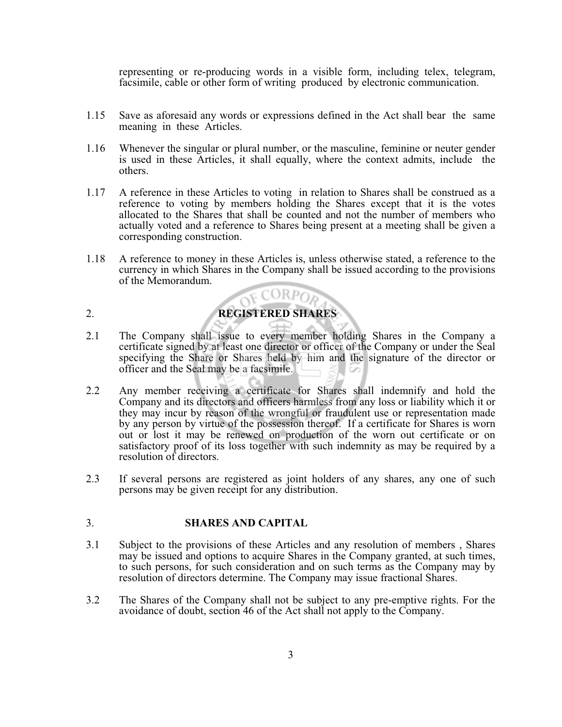representing or re-producing words in a visible form, including telex, telegram, facsimile, cable or other form of writing produced by electronic communication.

- 1.15 Save as aforesaid any words or expressions defined in the Act shall bear the same meaning in these Articles.
- 1.16 Whenever the singular or plural number, or the masculine, feminine or neuter gender is used in these Articles, it shall equally, where the context admits, include the others.
- 1.17 A reference in these Articles to voting in relation to Shares shall be construed as a reference to voting by members holding the Shares except that it is the votes allocated to the Shares that shall be counted and not the number of members who actually voted and a reference to Shares being present at a meeting shall be given a corresponding construction.
- 1.18 A reference to money in these Articles is, unless otherwise stated, a reference to the currency in which Shares in the Company shall be issued according to the provisions of the Memorandum. OF CORPOR

# 2. **REGISTERED SHARES**

- 2.1 The Company shall issue to every member holding Shares in the Company a certificate signed by at least one director or officer of the Company or under the Seal specifying the Share or Shares held by him and the signature of the director or officer and the Seal may be a facsimile.
- 2.2 Any member receiving a certificate for Shares shall indemnify and hold the Company and its directors and officers harmless from any loss or liability which it or they may incur by reason of the wrongful or fraudulent use or representation made by any person by virtue of the possession thereof. If a certificate for Shares is worn out or lost it may be renewed on production of the worn out certificate or on satisfactory proof of its loss together with such indemnity as may be required by a resolution of directors.
- 2.3 If several persons are registered as joint holders of any shares, any one of such persons may be given receipt for any distribution.

#### 3. **SHARES AND CAPITAL**

- 3.1 Subject to the provisions of these Articles and any resolution of members , Shares may be issued and options to acquire Shares in the Company granted, at such times, to such persons, for such consideration and on such terms as the Company may by resolution of directors determine. The Company may issue fractional Shares.
- 3.2 The Shares of the Company shall not be subject to any pre-emptive rights. For the avoidance of doubt, section 46 of the Act shall not apply to the Company.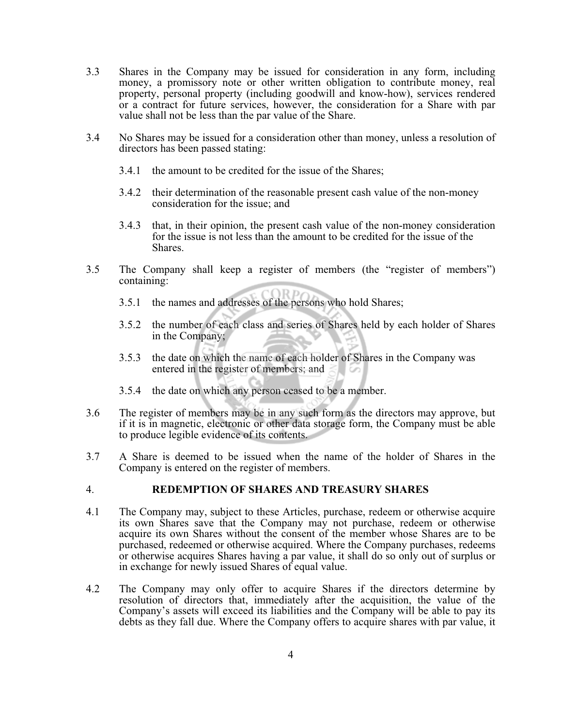- 3.3 Shares in the Company may be issued for consideration in any form, including money, a promissory note or other written obligation to contribute money, real property, personal property (including goodwill and know-how), services rendered or a contract for future services, however, the consideration for a Share with par value shall not be less than the par value of the Share.
- 3.4 No Shares may be issued for a consideration other than money, unless a resolution of directors has been passed stating:
	- 3.4.1 the amount to be credited for the issue of the Shares;
	- 3.4.2 their determination of the reasonable present cash value of the non-money consideration for the issue; and
	- 3.4.3 that, in their opinion, the present cash value of the non-money consideration for the issue is not less than the amount to be credited for the issue of the Shares.
- 3.5 The Company shall keep a register of members (the "register of members") containing:
	- 3.5.1 the names and addresses of the persons who hold Shares;
	- 3.5.2 the number of each class and series of Shares held by each holder of Shares in the Company;
	- 3.5.3 the date on which the name of each holder of Shares in the Company was entered in the register of members; and
	- 3.5.4 the date on which any person ceased to be a member.
- 3.6 The register of members may be in any such form as the directors may approve, but if it is in magnetic, electronic or other data storage form, the Company must be able to produce legible evidence of its contents.
- 3.7 A Share is deemed to be issued when the name of the holder of Shares in the Company is entered on the register of members.

#### 4. **REDEMPTION OF SHARES AND TREASURY SHARES**

- 4.1 The Company may, subject to these Articles, purchase, redeem or otherwise acquire its own Shares save that the Company may not purchase, redeem or otherwise acquire its own Shares without the consent of the member whose Shares are to be purchased, redeemed or otherwise acquired. Where the Company purchases, redeems or otherwise acquires Shares having a par value, it shall do so only out of surplus or in exchange for newly issued Shares of equal value.
- 4.2 The Company may only offer to acquire Shares if the directors determine by resolution of directors that, immediately after the acquisition, the value of the Company's assets will exceed its liabilities and the Company will be able to pay its debts as they fall due. Where the Company offers to acquire shares with par value, it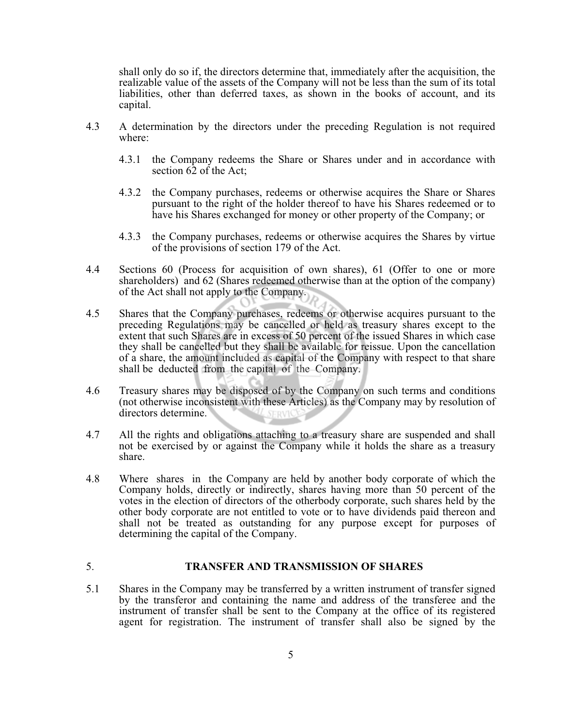shall only do so if, the directors determine that, immediately after the acquisition, the realizable value of the assets of the Company will not be less than the sum of its total liabilities, other than deferred taxes, as shown in the books of account, and its capital.

- 4.3 A determination by the directors under the preceding Regulation is not required where:
	- 4.3.1 the Company redeems the Share or Shares under and in accordance with section 62 of the Act;
	- 4.3.2 the Company purchases, redeems or otherwise acquires the Share or Shares pursuant to the right of the holder thereof to have his Shares redeemed or to have his Shares exchanged for money or other property of the Company; or
	- 4.3.3 the Company purchases, redeems or otherwise acquires the Shares by virtue of the provisions of section 179 of the Act.
- 4.4 Sections 60 (Process for acquisition of own shares), 61 (Offer to one or more shareholders) and 62 (Shares redeemed otherwise than at the option of the company) of the Act shall not apply to the Company.
- 4.5 Shares that the Company purchases, redeems or otherwise acquires pursuant to the preceding Regulations may be cancelled or held as treasury shares except to the extent that such Shares are in excess of 50 percent of the issued Shares in which case they shall be cancelled but they shall be available for reissue. Upon the cancellation of a share, the amount included as capital of the Company with respect to that share shall be deducted from the capital of the Company.
- 4.6 Treasury shares may be disposed of by the Company on such terms and conditions (not otherwise inconsistent with these Articles) as the Company may by resolution of directors determine. SERVICE
- 4.7 All the rights and obligations attaching to a treasury share are suspended and shall not be exercised by or against the Company while it holds the share as a treasury share.
- 4.8 Where shares in the Company are held by another body corporate of which the Company holds, directly or indirectly, shares having more than 50 percent of the votes in the election of directors of the otherbody corporate, such shares held by the other body corporate are not entitled to vote or to have dividends paid thereon and shall not be treated as outstanding for any purpose except for purposes of determining the capital of the Company.

## 5. **TRANSFER AND TRANSMISSION OF SHARES**

5.1 Shares in the Company may be transferred by a written instrument of transfer signed by the transferor and containing the name and address of the transferee and the instrument of transfer shall be sent to the Company at the office of its registered agent for registration. The instrument of transfer shall also be signed by the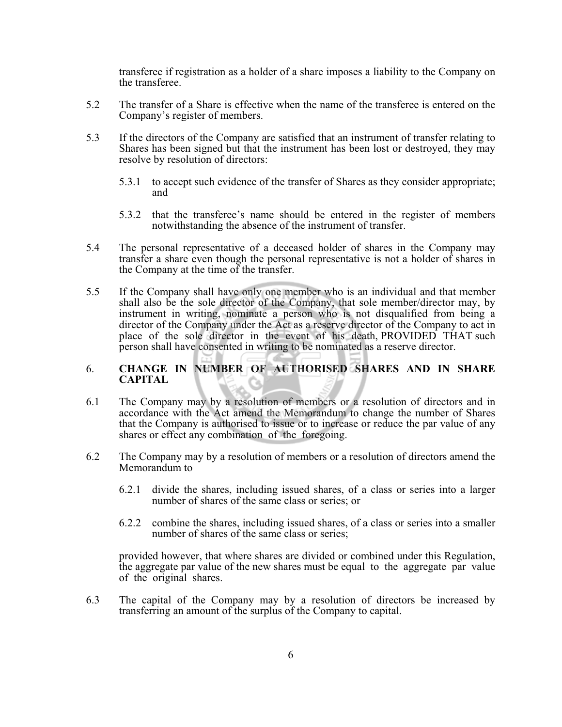transferee if registration as a holder of a share imposes a liability to the Company on the transferee.

- 5.2 The transfer of a Share is effective when the name of the transferee is entered on the Company's register of members.
- 5.3 If the directors of the Company are satisfied that an instrument of transfer relating to Shares has been signed but that the instrument has been lost or destroyed, they may resolve by resolution of directors:
	- 5.3.1 to accept such evidence of the transfer of Shares as they consider appropriate; and
	- 5.3.2 that the transferee's name should be entered in the register of members notwithstanding the absence of the instrument of transfer.
- 5.4 The personal representative of a deceased holder of shares in the Company may transfer a share even though the personal representative is not a holder of shares in the Company at the time of the transfer.
- 5.5 If the Company shall have only one member who is an individual and that member shall also be the sole director of the Company, that sole member/director may, by instrument in writing, nominate a person who is not disqualified from being a director of the Company under the Act as a reserve director of the Company to act in place of the sole director in the event of his death, PROVIDED THAT such person shall have consented in writing to be nominated as a reserve director.

## 6. **CHANGE IN NUMBER OF AUTHORISED SHARES AND IN SHARE CAPITAL**

- 6.1 The Company may by a resolution of members or a resolution of directors and in accordance with the Act amend the Memorandum to change the number of Shares that the Company is authorised to issue or to increase or reduce the par value of any shares or effect any combination of the foregoing.
- 6.2 The Company may by a resolution of members or a resolution of directors amend the Memorandum to
	- 6.2.1 divide the shares, including issued shares, of a class or series into a larger number of shares of the same class or series; or
	- 6.2.2 combine the shares, including issued shares, of a class or series into a smaller number of shares of the same class or series;

provided however, that where shares are divided or combined under this Regulation, the aggregate par value of the new shares must be equal to the aggregate par value of the original shares.

6.3 The capital of the Company may by a resolution of directors be increased by transferring an amount of the surplus of the Company to capital.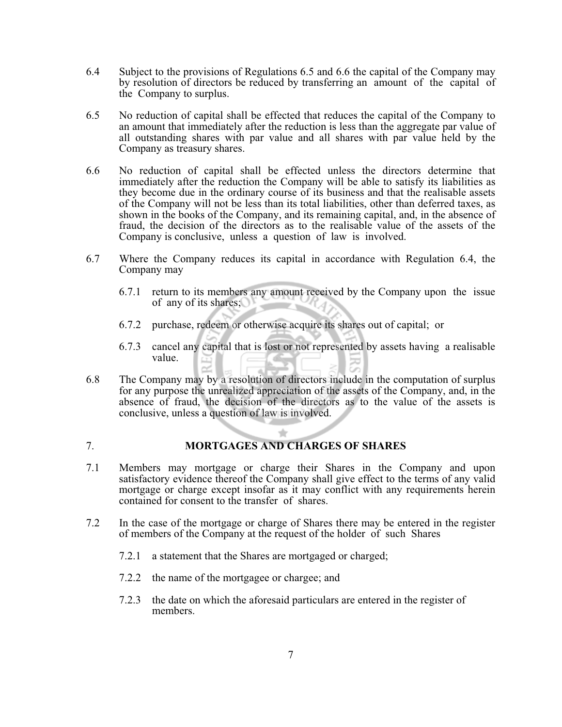- 6.4 Subject to the provisions of Regulations 6.5 and 6.6 the capital of the Company may by resolution of directors be reduced by transferring an amount of the capital of the Company to surplus.
- 6.5 No reduction of capital shall be effected that reduces the capital of the Company to an amount that immediately after the reduction is less than the aggregate par value of all outstanding shares with par value and all shares with par value held by the Company as treasury shares.
- 6.6 No reduction of capital shall be effected unless the directors determine that immediately after the reduction the Company will be able to satisfy its liabilities as they become due in the ordinary course of its business and that the realisable assets of the Company will not be less than its total liabilities, other than deferred taxes, as shown in the books of the Company, and its remaining capital, and, in the absence of fraud, the decision of the directors as to the realisable value of the assets of the Company is conclusive, unless a question of law is involved.
- 6.7 Where the Company reduces its capital in accordance with Regulation 6.4, the Company may
	- 6.7.1 return to its members any amount received by the Company upon the issue of any of its shares;  $\sim$
	- 6.7.2 purchase, redeem or otherwise acquire its shares out of capital; or
	- 6.7.3 cancel any capital that is lost or not represented by assets having a realisable value.
- 6.8 The Company may by a resolution of directors include in the computation of surplus for any purpose the unrealized appreciation of the assets of the Company, and, in the absence of fraud, the decision of the directors as to the value of the assets is conclusive, unless a question of law is involved.

## 7. **MORTGAGES AND CHARGES OF SHARES**

- 7.1 Members may mortgage or charge their Shares in the Company and upon satisfactory evidence thereof the Company shall give effect to the terms of any valid mortgage or charge except insofar as it may conflict with any requirements herein contained for consent to the transfer of shares.
- 7.2 In the case of the mortgage or charge of Shares there may be entered in the register of members of the Company at the request of the holder of such Shares
	- 7.2.1 a statement that the Shares are mortgaged or charged;
	- 7.2.2 the name of the mortgagee or chargee; and
	- 7.2.3 the date on which the aforesaid particulars are entered in the register of members.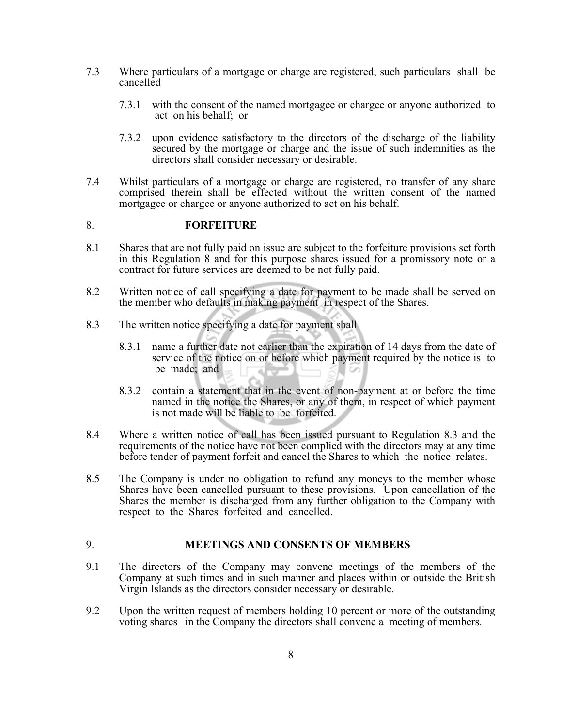- 7.3 Where particulars of a mortgage or charge are registered, such particulars shall be cancelled
	- 7.3.1 with the consent of the named mortgagee or chargee or anyone authorized to act on his behalf; or
	- 7.3.2 upon evidence satisfactory to the directors of the discharge of the liability secured by the mortgage or charge and the issue of such indemnities as the directors shall consider necessary or desirable.
- 7.4 Whilst particulars of a mortgage or charge are registered, no transfer of any share comprised therein shall be effected without the written consent of the named mortgagee or chargee or anyone authorized to act on his behalf.

#### 8. **FORFEITURE**

- 8.1 Shares that are not fully paid on issue are subject to the forfeiture provisions set forth in this Regulation 8 and for this purpose shares issued for a promissory note or a contract for future services are deemed to be not fully paid.
- 8.2 Written notice of call specifying a date for payment to be made shall be served on the member who defaults in making payment in respect of the Shares.
- 8.3 The written notice specifying a date for payment shall
	- 8.3.1 name a further date not earlier than the expiration of 14 days from the date of service of the notice on or before which payment required by the notice is to be made; and
	- 8.3.2 contain a statement that in the event of non-payment at or before the time named in the notice the Shares, or any of them, in respect of which payment is not made will be liable to be forfeited.
- 8.4 Where a written notice of call has been issued pursuant to Regulation 8.3 and the requirements of the notice have not been complied with the directors may at any time before tender of payment forfeit and cancel the Shares to which the notice relates.
- 8.5 The Company is under no obligation to refund any moneys to the member whose Shares have been cancelled pursuant to these provisions. Upon cancellation of the Shares the member is discharged from any further obligation to the Company with respect to the Shares forfeited and cancelled.

## 9. **MEETINGS AND CONSENTS OF MEMBERS**

- 9.1 The directors of the Company may convene meetings of the members of the Company at such times and in such manner and places within or outside the British Virgin Islands as the directors consider necessary or desirable.
- 9.2 Upon the written request of members holding 10 percent or more of the outstanding voting shares in the Company the directors shall convene a meeting of members.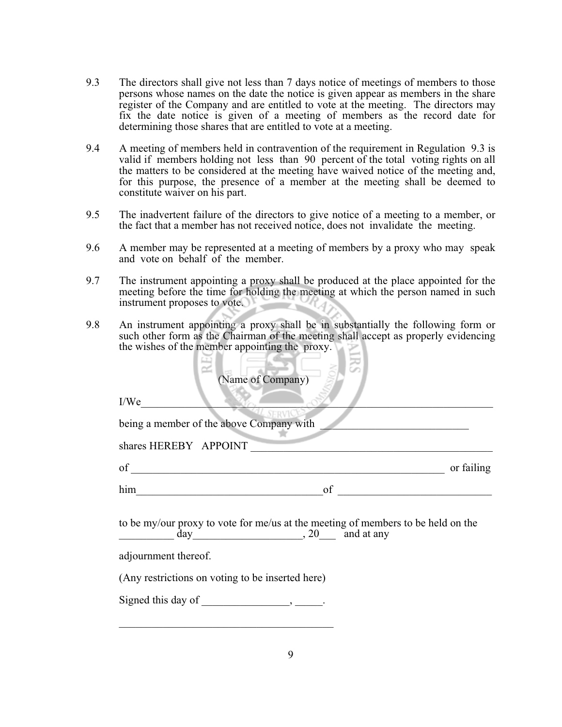- 9.3 The directors shall give not less than 7 days notice of meetings of members to those persons whose names on the date the notice is given appear as members in the share register of the Company and are entitled to vote at the meeting. The directors may fix the date notice is given of a meeting of members as the record date for determining those shares that are entitled to vote at a meeting.
- 9.4 A meeting of members held in contravention of the requirement in Regulation 9.3 is valid if members holding not less than 90 percent of the total voting rights on all the matters to be considered at the meeting have waived notice of the meeting and, for this purpose, the presence of a member at the meeting shall be deemed to constitute waiver on his part.
- 9.5 The inadvertent failure of the directors to give notice of a meeting to a member, or the fact that a member has not received notice, does not invalidate the meeting.
- 9.6 A member may be represented at a meeting of members by a proxy who may speak and vote on behalf of the member.
- 9.7 The instrument appointing a proxy shall be produced at the place appointed for the meeting before the time for holding the meeting at which the person named in such instrument proposes to vote.
- 9.8 An instrument appointing a proxy shall be in substantially the following form or such other form as the Chairman of the meeting shall accept as properly evidencing the wishes of the member appointing the proxy.

 $\sim$ 

16 M

| (Name of Company)                                                                                                                                                                                                                                                                                                                                           |
|-------------------------------------------------------------------------------------------------------------------------------------------------------------------------------------------------------------------------------------------------------------------------------------------------------------------------------------------------------------|
| I/We                                                                                                                                                                                                                                                                                                                                                        |
| being a member of the above Company with                                                                                                                                                                                                                                                                                                                    |
| shares HEREBY APPOINT                                                                                                                                                                                                                                                                                                                                       |
| of $\qquad \qquad$ $\qquad$ $\qquad$ $\qquad$ $\qquad$ $\qquad$ $\qquad$ $\qquad$ $\qquad$ $\qquad$ $\qquad$ $\qquad$ $\qquad$ $\qquad$ $\qquad$ $\qquad$ $\qquad$ $\qquad$ $\qquad$ $\qquad$ $\qquad$ $\qquad$ $\qquad$ $\qquad$ $\qquad$ $\qquad$ $\qquad$ $\qquad$ $\qquad$ $\qquad$ $\qquad$ $\qquad$ $\qquad$ $\qquad$ $\qquad$ $\qquad$<br>or failing |
| him<br>of                                                                                                                                                                                                                                                                                                                                                   |
| to be my/our proxy to vote for me/us at the meeting of members to be held on the<br>$\frac{day}{x}$ , 20 and at any<br>adjournment thereof.<br>(Any restrictions on voting to be inserted here)<br>Signed this day of $\_\_\_\_\_\_\_\$ .                                                                                                                   |
|                                                                                                                                                                                                                                                                                                                                                             |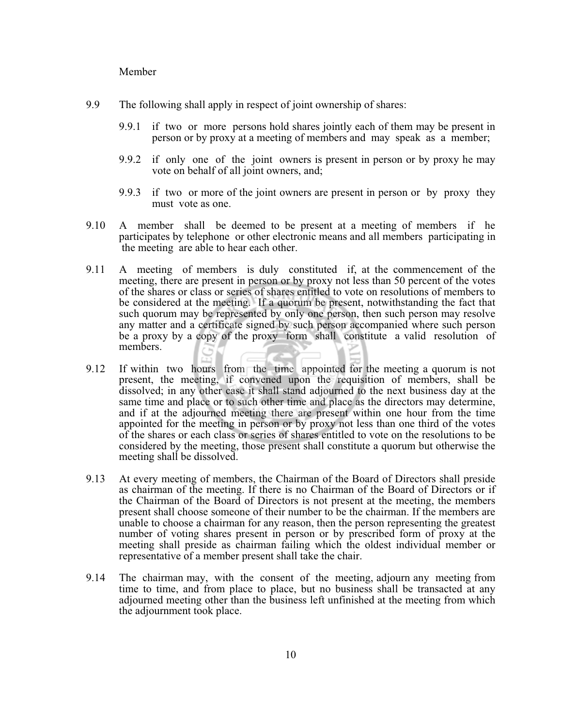Member

- 9.9 The following shall apply in respect of joint ownership of shares:
	- 9.9.1 if two or more persons hold shares jointly each of them may be present in person or by proxy at a meeting of members and may speak as a member;
	- 9.9.2 if only one of the joint owners is present in person or by proxy he may vote on behalf of all joint owners, and;
	- 9.9.3 if two or more of the joint owners are present in person or by proxy they must vote as one.
- 9.10 A member shall be deemed to be present at a meeting of members if he participates by telephone or other electronic means and all members participating in the meeting are able to hear each other.
- 9.11 A meeting of members is duly constituted if, at the commencement of the meeting, there are present in person or by proxy not less than 50 percent of the votes of the shares or class or series of shares entitled to vote on resolutions of members to be considered at the meeting. If a quorum be present, notwithstanding the fact that such quorum may be represented by only one person, then such person may resolve any matter and a certificate signed by such person accompanied where such person be a proxy by a copy of the proxy form shall constitute a valid resolution of members.
- 9.12 If within two hours from the time appointed for the meeting a quorum is not present, the meeting, if convened upon the requisition of members, shall be dissolved; in any other case it shall stand adjourned to the next business day at the same time and place or to such other time and place as the directors may determine, and if at the adjourned meeting there are present within one hour from the time appointed for the meeting in person or by proxy not less than one third of the votes of the shares or each class or series of shares entitled to vote on the resolutions to be considered by the meeting, those present shall constitute a quorum but otherwise the meeting shall be dissolved.
- 9.13 At every meeting of members, the Chairman of the Board of Directors shall preside as chairman of the meeting. If there is no Chairman of the Board of Directors or if the Chairman of the Board of Directors is not present at the meeting, the members present shall choose someone of their number to be the chairman. If the members are unable to choose a chairman for any reason, then the person representing the greatest number of voting shares present in person or by prescribed form of proxy at the meeting shall preside as chairman failing which the oldest individual member or representative of a member present shall take the chair.
- 9.14 The chairman may, with the consent of the meeting, adjourn any meeting from time to time, and from place to place, but no business shall be transacted at any adjourned meeting other than the business left unfinished at the meeting from which the adjournment took place.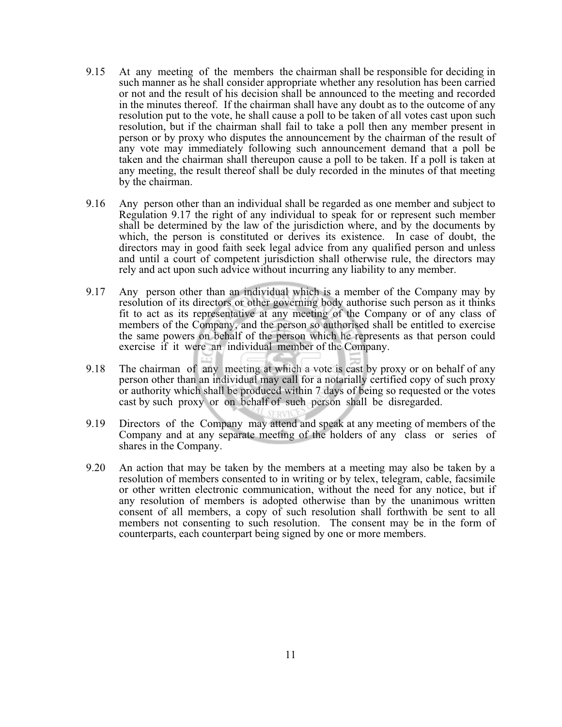- 9.15 At any meeting of the members the chairman shall be responsible for deciding in such manner as he shall consider appropriate whether any resolution has been carried or not and the result of his decision shall be announced to the meeting and recorded in the minutes thereof. If the chairman shall have any doubt as to the outcome of any resolution put to the vote, he shall cause a poll to be taken of all votes cast upon such resolution, but if the chairman shall fail to take a poll then any member present in person or by proxy who disputes the announcement by the chairman of the result of any vote may immediately following such announcement demand that a poll be taken and the chairman shall thereupon cause a poll to be taken. If a poll is taken at any meeting, the result thereof shall be duly recorded in the minutes of that meeting by the chairman.
- 9.16 Any person other than an individual shall be regarded as one member and subject to Regulation 9.17 the right of any individual to speak for or represent such member shall be determined by the law of the jurisdiction where, and by the documents by which, the person is constituted or derives its existence. In case of doubt, the directors may in good faith seek legal advice from any qualified person and unless and until a court of competent jurisdiction shall otherwise rule, the directors may rely and act upon such advice without incurring any liability to any member.
- 9.17 Any person other than an individual which is a member of the Company may by resolution of its directors or other governing body authorise such person as it thinks fit to act as its representative at any meeting of the Company or of any class of members of the Company, and the person so authorised shall be entitled to exercise the same powers on behalf of the person which he represents as that person could exercise if it were an individual member of the Company.
- 9.18 The chairman of any meeting at which a vote is cast by proxy or on behalf of any person other than an individual may call for a notarially certified copy of such proxy or authority which shall be produced within 7 days of being so requested or the votes cast by such proxy or on behalf of such person shall be disregarded.
- 9.19 Directors of the Company may attend and speak at any meeting of members of the Company and at any separate meeting of the holders of any class or series of shares in the Company.
- 9.20 An action that may be taken by the members at a meeting may also be taken by a resolution of members consented to in writing or by telex, telegram, cable, facsimile or other written electronic communication, without the need for any notice, but if any resolution of members is adopted otherwise than by the unanimous written consent of all members, a copy of such resolution shall forthwith be sent to all members not consenting to such resolution. The consent may be in the form of counterparts, each counterpart being signed by one or more members.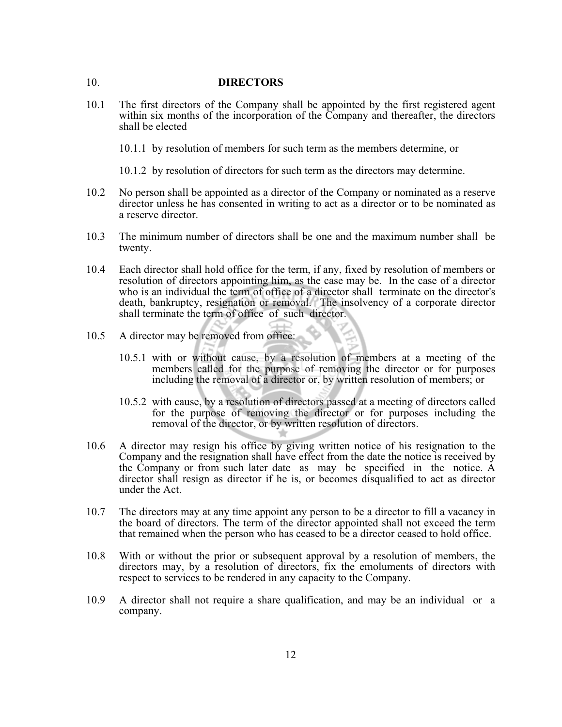#### 10. **DIRECTORS**

- 10.1 The first directors of the Company shall be appointed by the first registered agent within six months of the incorporation of the Company and thereafter, the directors shall be elected
	- 10.1.1 by resolution of members for such term as the members determine, or
	- 10.1.2 by resolution of directors for such term as the directors may determine.
- 10.2 No person shall be appointed as a director of the Company or nominated as a reserve director unless he has consented in writing to act as a director or to be nominated as a reserve director.
- 10.3 The minimum number of directors shall be one and the maximum number shall be twenty.
- 10.4 Each director shall hold office for the term, if any, fixed by resolution of members or resolution of directors appointing him, as the case may be. In the case of a director who is an individual the term of office of a director shall terminate on the director's death, bankruptcy, resignation or removal. The insolvency of a corporate director shall terminate the term of office of such director.
- 10.5 A director may be removed from office:
	- 10.5.1 with or without cause, by a resolution of members at a meeting of the members called for the purpose of removing the director or for purposes including the removal of a director or, by written resolution of members; or
	- 10.5.2 with cause, by a resolution of directors passed at a meeting of directors called for the purpose of removing the director or for purposes including the removal of the director, or by written resolution of directors.
- 10.6 A director may resign his office by giving written notice of his resignation to the Company and the resignation shall have effect from the date the notice is received by the Company or from such later date as may be specified in the notice. A director shall resign as director if he is, or becomes disqualified to act as director under the Act.
- 10.7 The directors may at any time appoint any person to be a director to fill a vacancy in the board of directors. The term of the director appointed shall not exceed the term that remained when the person who has ceased to be a director ceased to hold office.
- 10.8 With or without the prior or subsequent approval by a resolution of members, the directors may, by a resolution of directors, fix the emoluments of directors with respect to services to be rendered in any capacity to the Company.
- 10.9 A director shall not require a share qualification, and may be an individual or a company.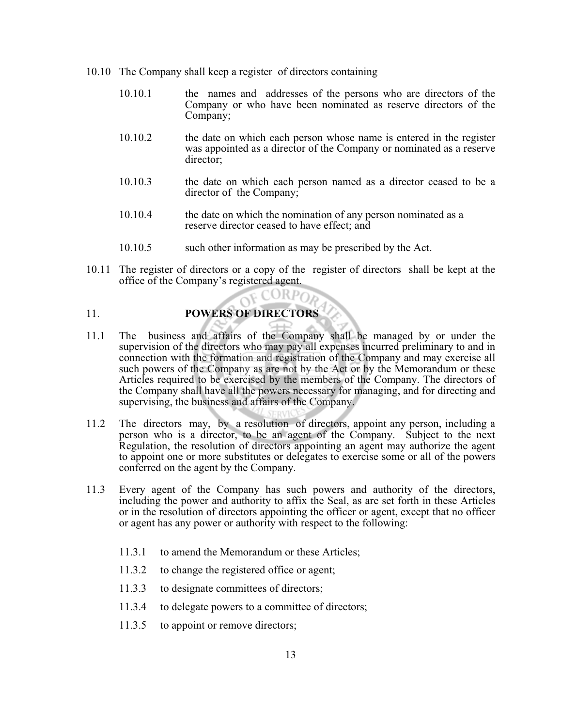- 10.10 The Company shall keep a register of directors containing
	- 10.10.1 the names and addresses of the persons who are directors of the Company or who have been nominated as reserve directors of the Company;
	- 10.10.2 the date on which each person whose name is entered in the register was appointed as a director of the Company or nominated as a reserve director;
	- 10.10.3 the date on which each person named as a director ceased to be a director of the Company;
	- 10.10.4 the date on which the nomination of any person nominated as a reserve director ceased to have effect; and
	- 10.10.5 such other information as may be prescribed by the Act.
- 10.11 The register of directors or a copy of the register of directors shall be kept at the office of the Company's registered agent.

## 11. **POWERS OF DIRECTORS**

- 11.1 The business and affairs of the Company shall be managed by or under the supervision of the directors who may pay all expenses incurred preliminary to and in connection with the formation and registration of the Company and may exercise all such powers of the Company as are not by the Act or by the Memorandum or these Articles required to be exercised by the members of the Company. The directors of the Company shall have all the powers necessary for managing, and for directing and supervising, the business and affairs of the Company.
- 11.2 The directors may, by a resolution of directors, appoint any person, including a person who is a director, to be an agent of the Company. Subject to the next Regulation, the resolution of directors appointing an agent may authorize the agent to appoint one or more substitutes or delegates to exercise some or all of the powers conferred on the agent by the Company.
- 11.3 Every agent of the Company has such powers and authority of the directors, including the power and authority to affix the Seal, as are set forth in these Articles or in the resolution of directors appointing the officer or agent, except that no officer or agent has any power or authority with respect to the following:
	- 11.3.1 to amend the Memorandum or these Articles;
	- 11.3.2 to change the registered office or agent;
	- 11.3.3 to designate committees of directors;
	- 11.3.4 to delegate powers to a committee of directors;
	- 11.3.5 to appoint or remove directors;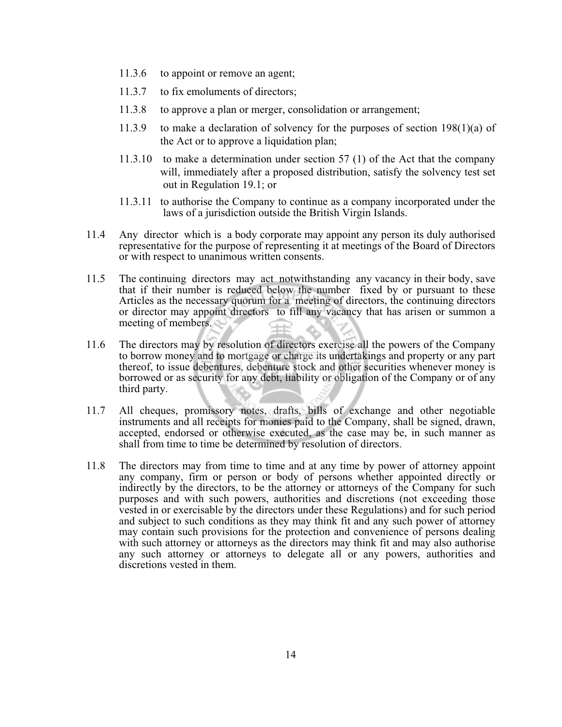- 11.3.6 to appoint or remove an agent;
- 11.3.7 to fix emoluments of directors;
- 11.3.8 to approve a plan or merger, consolidation or arrangement;
- 11.3.9 to make a declaration of solvency for the purposes of section 198(1)(a) of the Act or to approve a liquidation plan;
- 11.3.10 to make a determination under section 57 (1) of the Act that the company will, immediately after a proposed distribution, satisfy the solvency test set out in Regulation 19.1; or
- 11.3.11 to authorise the Company to continue as a company incorporated under the laws of a jurisdiction outside the British Virgin Islands.
- 11.4 Any director which is a body corporate may appoint any person its duly authorised representative for the purpose of representing it at meetings of the Board of Directors or with respect to unanimous written consents.
- 11.5 The continuing directors may act notwithstanding any vacancy in their body, save that if their number is reduced below the number fixed by or pursuant to these Articles as the necessary quorum for a meeting of directors, the continuing directors or director may appoint directors to fill any vacancy that has arisen or summon a meeting of members.
- 11.6 The directors may by resolution of directors exercise all the powers of the Company to borrow money and to mortgage or charge its undertakings and property or any part thereof, to issue debentures, debenture stock and other securities whenever money is borrowed or as security for any debt, liability or obligation of the Company or of any third party.
- 11.7 All cheques, promissory notes, drafts, bills of exchange and other negotiable instruments and all receipts for monies paid to the Company, shall be signed, drawn, accepted, endorsed or otherwise executed, as the case may be, in such manner as shall from time to time be determined by resolution of directors.
- 11.8 The directors may from time to time and at any time by power of attorney appoint any company, firm or person or body of persons whether appointed directly or indirectly by the directors, to be the attorney or attorneys of the Company for such purposes and with such powers, authorities and discretions (not exceeding those vested in or exercisable by the directors under these Regulations) and for such period and subject to such conditions as they may think fit and any such power of attorney may contain such provisions for the protection and convenience of persons dealing with such attorney or attorneys as the directors may think fit and may also authorise any such attorney or attorneys to delegate all or any powers, authorities and discretions vested in them.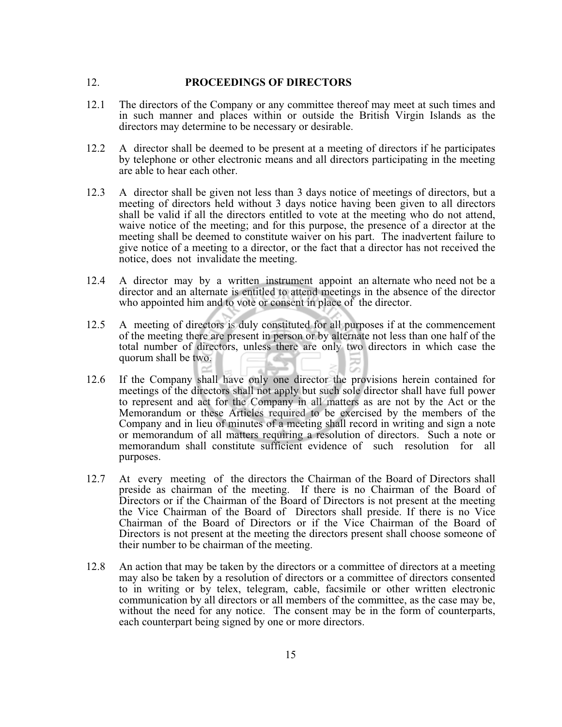## 12. **PROCEEDINGS OF DIRECTORS**

- 12.1 The directors of the Company or any committee thereof may meet at such times and in such manner and places within or outside the British Virgin Islands as the directors may determine to be necessary or desirable.
- 12.2 A director shall be deemed to be present at a meeting of directors if he participates by telephone or other electronic means and all directors participating in the meeting are able to hear each other.
- 12.3 A director shall be given not less than 3 days notice of meetings of directors, but a meeting of directors held without 3 days notice having been given to all directors shall be valid if all the directors entitled to vote at the meeting who do not attend, waive notice of the meeting; and for this purpose, the presence of a director at the meeting shall be deemed to constitute waiver on his part. The inadvertent failure to give notice of a meeting to a director, or the fact that a director has not received the notice, does not invalidate the meeting.
- 12.4 A director may by a written instrument appoint an alternate who need not be a director and an alternate is entitled to attend meetings in the absence of the director who appointed him and to vote or consent in place of the director.
- 12.5 A meeting of directors is duly constituted for all purposes if at the commencement of the meeting there are present in person or by alternate not less than one half of the total number of directors, unless there are only two directors in which case the quorum shall be two.
- 12.6 If the Company shall have only one director the provisions herein contained for meetings of the directors shall not apply but such sole director shall have full power to represent and act for the Company in all matters as are not by the Act or the Memorandum or these Articles required to be exercised by the members of the Company and in lieu of minutes of a meeting shall record in writing and sign a note or memorandum of all matters requiring a resolution of directors. Such a note or memorandum shall constitute sufficient evidence of such resolution for all purposes.
- 12.7 At every meeting of the directors the Chairman of the Board of Directors shall preside as chairman of the meeting. If there is no Chairman of the Board of Directors or if the Chairman of the Board of Directors is not present at the meeting the Vice Chairman of the Board of Directors shall preside. If there is no Vice Chairman of the Board of Directors or if the Vice Chairman of the Board of Directors is not present at the meeting the directors present shall choose someone of their number to be chairman of the meeting.
- 12.8 An action that may be taken by the directors or a committee of directors at a meeting may also be taken by a resolution of directors or a committee of directors consented to in writing or by telex, telegram, cable, facsimile or other written electronic communication by all directors or all members of the committee, as the case may be, without the need for any notice. The consent may be in the form of counterparts, each counterpart being signed by one or more directors.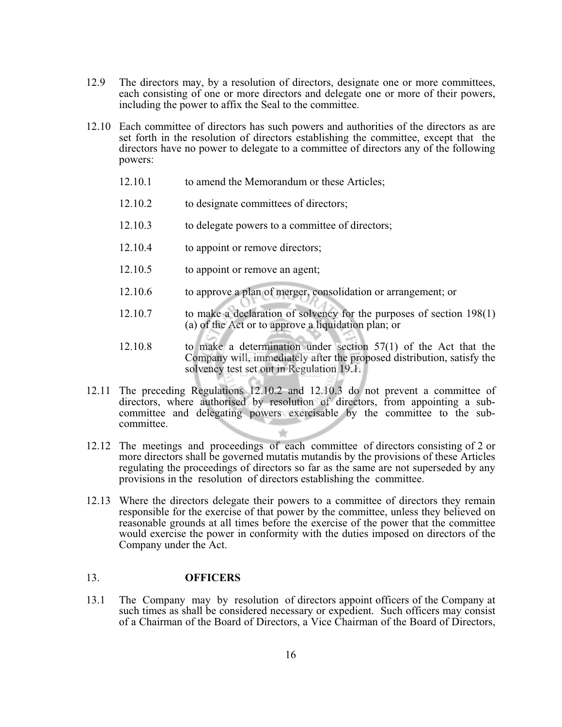- 12.9 The directors may, by a resolution of directors, designate one or more committees, each consisting of one or more directors and delegate one or more of their powers, including the power to affix the Seal to the committee.
- 12.10 Each committee of directors has such powers and authorities of the directors as are set forth in the resolution of directors establishing the committee, except that the directors have no power to delegate to a committee of directors any of the following powers:
	- 12.10.1 to amend the Memorandum or these Articles;
	- 12.10.2 to designate committees of directors;
	- 12.10.3 to delegate powers to a committee of directors;
	- 12.10.4 to appoint or remove directors;
	- 12.10.5 to appoint or remove an agent;
	- 12.10.6 to approve a plan of merger, consolidation or arrangement; or
	- 12.10.7 to make a declaration of solvency for the purposes of section 198(1) (a) of the Act or to approve a liquidation plan; or
	- 12.10.8 to make a determination under section 57(1) of the Act that the Company will, immediately after the proposed distribution, satisfy the solvency test set out in Regulation 19.1.
- 12.11 The preceding Regulations 12.10.2 and 12.10.3 do not prevent a committee of directors, where authorised by resolution of directors, from appointing a sub committee and delegating powers exercisable by the committee to the sub committee.
- 12.12 The meetings and proceedings of each committee of directors consisting of 2 or more directors shall be governed mutatis mutandis by the provisions of these Articles regulating the proceedings of directors so far as the same are not superseded by any provisions in the resolution of directors establishing the committee.
- 12.13 Where the directors delegate their powers to a committee of directors they remain responsible for the exercise of that power by the committee, unless they believed on reasonable grounds at all times before the exercise of the power that the committee would exercise the power in conformity with the duties imposed on directors of the Company under the Act.

#### 13. **OFFICERS**

13.1 The Company may by resolution of directors appoint officers of the Company at such times as shall be considered necessary or expedient. Such officers may consist of a Chairman of the Board of Directors, a Vice Chairman of the Board of Directors,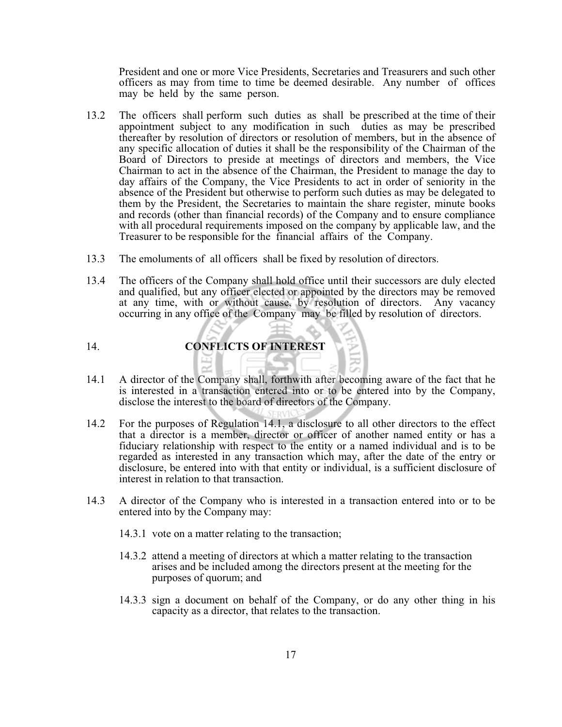President and one or more Vice Presidents, Secretaries and Treasurers and such other officers as may from time to time be deemed desirable. Any number of offices may be held by the same person.

- 13.2 The officers shall perform such duties as shall be prescribed at the time of their appointment subject to any modification in such duties as may be prescribed thereafter by resolution of directors or resolution of members, but in the absence of any specific allocation of duties it shall be the responsibility of the Chairman of the Board of Directors to preside at meetings of directors and members, the Vice Chairman to act in the absence of the Chairman, the President to manage the day to day affairs of the Company, the Vice Presidents to act in order of seniority in the absence of the President but otherwise to perform such duties as may be delegated to them by the President, the Secretaries to maintain the share register, minute books and records (other than financial records) of the Company and to ensure compliance with all procedural requirements imposed on the company by applicable law, and the Treasurer to be responsible for the financial affairs of the Company.
- 13.3 The emoluments of all officers shall be fixed by resolution of directors.
- 13.4 The officers of the Company shall hold office until their successors are duly elected and qualified, but any officer elected or appointed by the directors may be removed at any time, with or without cause, by resolution of directors. Any vacancy occurring in any office of the Company may be filled by resolution of directors.

## 14. **CONFLICTS OF INTEREST**

- 14.1 A director of the Company shall, forthwith after becoming aware of the fact that he is interested in a transaction entered into or to be entered into by the Company, disclose the interest to the board of directors of the Company.
- 14.2 For the purposes of Regulation 14.1, a disclosure to all other directors to the effect that a director is a member, director or officer of another named entity or has a fiduciary relationship with respect to the entity or a named individual and is to be regarded as interested in any transaction which may, after the date of the entry or disclosure, be entered into with that entity or individual, is a sufficient disclosure of interest in relation to that transaction.
- 14.3 A director of the Company who is interested in a transaction entered into or to be entered into by the Company may:
	- 14.3.1 vote on a matter relating to the transaction;
	- 14.3.2 attend a meeting of directors at which a matter relating to the transaction arises and be included among the directors present at the meeting for the purposes of quorum; and
	- 14.3.3 sign a document on behalf of the Company, or do any other thing in his capacity as a director, that relates to the transaction.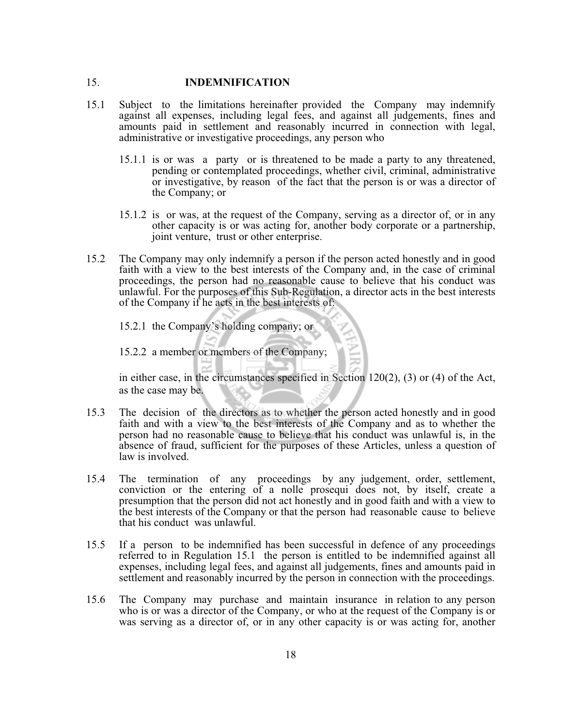## 15. **INDEMNIFICATION**

- 15.1 Subject to the limitations hereinafter provided the Company may indemnify against all expenses, including legal fees, and against all judgements, fines and amounts paid in settlement and reasonably incurred in connection with legal, administrative or investigative proceedings, any person who
	- 15.1.1 is or was a party or is threatened to be made a party to any threatened, pending or contemplated proceedings, whether civil, criminal, administrative or investigative, by reason of the fact that the person is or was a director of the Company; or
	- 15.1.2 is or was, at the request of the Company, serving as a director of, or in any other capacity is or was acting for, another body corporate or a partnership, joint venture, trust or other enterprise.
- 15.2 The Company may only indemnify a person if the person acted honestly and in good faith with a view to the best interests of the Company and, in the case of criminal proceedings, the person had no reasonable cause to believe that his conduct was unlawful. For the purposes of this Sub-Regulation, a director acts in the best interests of the Company if he acts in the best interests of:
	- 15.2.1 the Company's holding company; or

15.2.2 a member or members of the Company;

in either case, in the circumstances specified in Section 120(2), (3) or (4) of the Act, as the case may be.

- 15.3 The decision of the directors as to whether the person acted honestly and in good faith and with a view to the best interests of the Company and as to whether the person had no reasonable cause to believe that his conduct was unlawful is, in the absence of fraud, sufficient for the purposes of these Articles, unless a question of law is involved.
- 15.4 The termination of any proceedings by any judgement, order, settlement, conviction or the entering of a nolle prosequi does not, by itself, create a presumption that the person did not act honestly and in good faith and with a view to the best interests of the Company or that the person had reasonable cause to believe that his conduct was unlawful.
- 15.5 If a person to be indemnified has been successful in defence of any proceedings referred to in Regulation 15.1 the person is entitled to be indemnified against all expenses, including legal fees, and against all judgements, fines and amounts paid in settlement and reasonably incurred by the person in connection with the proceedings.
- 15.6 The Company may purchase and maintain insurance in relation to any person who is or was a director of the Company, or who at the request of the Company is or was serving as a director of, or in any other capacity is or was acting for, another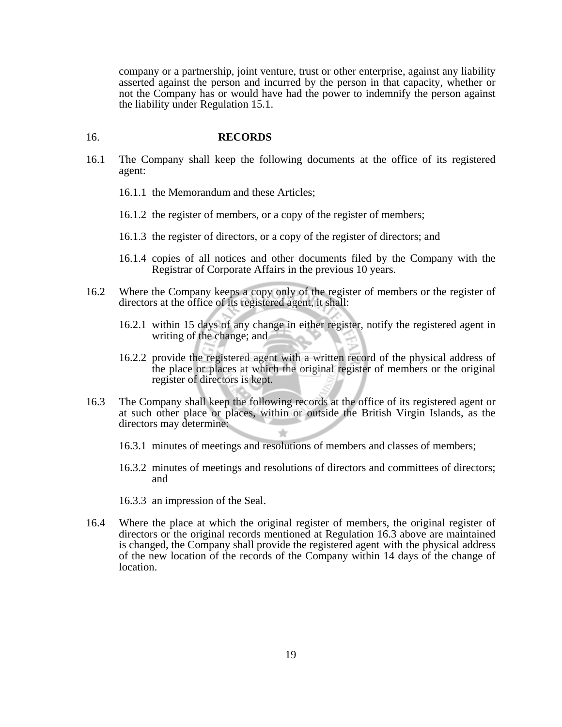company or a partnership, joint venture, trust or other enterprise, against any liability asserted against the person and incurred by the person in that capacity, whether or not the Company has or would have had the power to indemnify the person against the liability under Regulation 15.1.

#### 16. **RECORDS**

- 16.1 The Company shall keep the following documents at the office of its registered agent:
	- 16.1.1 the Memorandum and these Articles;
	- 16.1.2 the register of members, or a copy of the register of members;
	- 16.1.3 the register of directors, or a copy of the register of directors; and
	- 16.1.4 copies of all notices and other documents filed by the Company with the Registrar of Corporate Affairs in the previous 10 years.
- 16.2 Where the Company keeps a copy only of the register of members or the register of directors at the office of its registered agent, it shall:
	- 16.2.1 within 15 days of any change in either register, notify the registered agent in writing of the change; and
	- 16.2.2 provide the registered agent with a written record of the physical address of the place or places at which the original register of members or the original register of directors is kept.
- 16.3 The Company shall keep the following records at the office of its registered agent or at such other place or places, within or outside the British Virgin Islands, as the directors may determine:
	- 16.3.1 minutes of meetings and resolutions of members and classes of members;
	- 16.3.2 minutes of meetings and resolutions of directors and committees of directors; and
	- 16.3.3 an impression of the Seal.
- 16.4 Where the place at which the original register of members, the original register of directors or the original records mentioned at Regulation 16.3 above are maintained is changed, the Company shall provide the registered agent with the physical address of the new location of the records of the Company within 14 days of the change of location.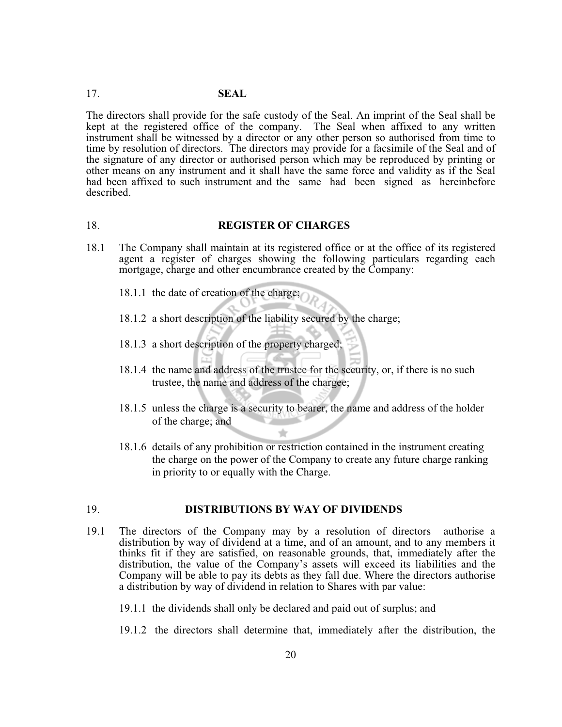## 17. **SEAL**

The directors shall provide for the safe custody of the Seal. An imprint of the Seal shall be kept at the registered office of the company. The Seal when affixed to any written instrument shall be witnessed by a director or any other person so authorised from time to time by resolution of directors. The directors may provide for a facsimile of the Seal and of the signature of any director or authorised person which may be reproduced by printing or other means on any instrument and it shall have the same force and validity as if the Seal had been affixed to such instrument and the same had been signed as hereinbefore described.

#### 18. **REGISTER OF CHARGES**

- 18.1 The Company shall maintain at its registered office or at the office of its registered agent a register of charges showing the following particulars regarding each mortgage, charge and other encumbrance created by the Company:
	- 18.1.1 the date of creation of the charge;
	- 18.1.2 a short description of the liability secured by the charge;
	- 18.1.3 a short description of the property charged;
	- 18.1.4 the name and address of the trustee for the security, or, if there is no such trustee, the name and address of the chargee;
	- 18.1.5 unless the charge is a security to bearer, the name and address of the holder of the charge; and
	- 18.1.6 details of any prohibition or restriction contained in the instrument creating the charge on the power of the Company to create any future charge ranking in priority to or equally with the Charge.

#### 19. **DISTRIBUTIONS BY WAY OF DIVIDENDS**

- 19.1 The directors of the Company may by a resolution of directors authorise a distribution by way of dividend at a time, and of an amount, and to any members it thinks fit if they are satisfied, on reasonable grounds, that, immediately after the distribution, the value of the Company's assets will exceed its liabilities and the Company will be able to pay its debts as they fall due. Where the directors authorise a distribution by way of dividend in relation to Shares with par value:
	- 19.1.1 the dividends shall only be declared and paid out of surplus; and
	- 19.1.2 the directors shall determine that, immediately after the distribution, the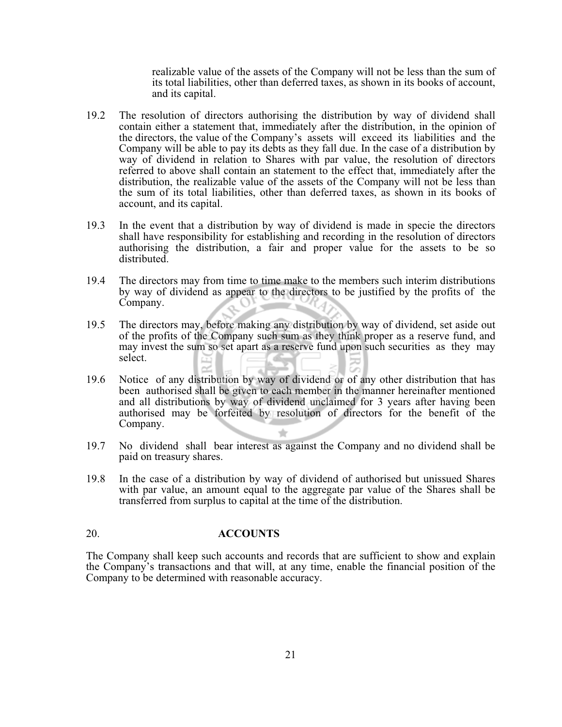realizable value of the assets of the Company will not be less than the sum of its total liabilities, other than deferred taxes, as shown in its books of account, and its capital.

- 19.2 The resolution of directors authorising the distribution by way of dividend shall contain either a statement that, immediately after the distribution, in the opinion of the directors, the value of the Company's assets will exceed its liabilities and the Company will be able to pay its debts as they fall due. In the case of a distribution by way of dividend in relation to Shares with par value, the resolution of directors referred to above shall contain an statement to the effect that, immediately after the distribution, the realizable value of the assets of the Company will not be less than the sum of its total liabilities, other than deferred taxes, as shown in its books of account, and its capital.
- 19.3 In the event that a distribution by way of dividend is made in specie the directors shall have responsibility for establishing and recording in the resolution of directors authorising the distribution, a fair and proper value for the assets to be so distributed.
- 19.4 The directors may from time to time make to the members such interim distributions by way of dividend as appear to the directors to be justified by the profits of the Company.
- 19.5 The directors may, before making any distribution by way of dividend, set aside out of the profits of the Company such sum as they think proper as a reserve fund, and may invest the sum so set apart as a reserve fund upon such securities as they may select.
- 19.6 Notice of any distribution by way of dividend or of any other distribution that has been authorised shall be given to each member in the manner hereinafter mentioned and all distributions by way of dividend unclaimed for 3 years after having been authorised may be forfeited by resolution of directors for the benefit of the Company.
- 19.7 No dividend shall bear interest as against the Company and no dividend shall be paid on treasury shares.
- 19.8 In the case of a distribution by way of dividend of authorised but unissued Shares with par value, an amount equal to the aggregate par value of the Shares shall be transferred from surplus to capital at the time of the distribution.

## 20. **ACCOUNTS**

The Company shall keep such accounts and records that are sufficient to show and explain the Company's transactions and that will, at any time, enable the financial position of the Company to be determined with reasonable accuracy.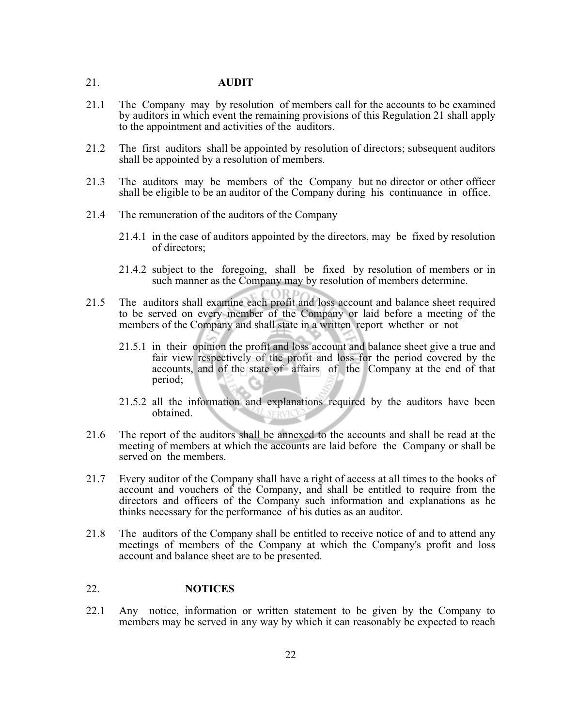## 21. **AUDIT**

- 21.1 The Company may by resolution of members call for the accounts to be examined by auditors in which event the remaining provisions of this Regulation 21 shall apply to the appointment and activities of the auditors.
- 21.2 The first auditors shall be appointed by resolution of directors; subsequent auditors shall be appointed by a resolution of members.
- 21.3 The auditors may be members of the Company but no director or other officer shall be eligible to be an auditor of the Company during his continuance in office.
- 21.4 The remuneration of the auditors of the Company
	- 21.4.1 in the case of auditors appointed by the directors, may be fixed by resolution of directors;
	- 21.4.2 subject to the foregoing, shall be fixed by resolution of members or in such manner as the Company may by resolution of members determine.
- 21.5 The auditors shall examine each profit and loss account and balance sheet required to be served on every member of the Company or laid before a meeting of the members of the Company and shall state in a written report whether or not
	- 21.5.1 in their opinion the profit and loss account and balance sheet give a true and fair view respectively of the profit and loss for the period covered by the accounts, and of the state of affairs of the Company at the end of that period;
	- 21.5.2 all the information and explanations required by the auditors have been obtained. **SERVK**
- 21.6 The report of the auditors shall be annexed to the accounts and shall be read at the meeting of members at which the accounts are laid before the Company or shall be served on the members.
- 21.7 Every auditor of the Company shall have a right of access at all times to the books of account and vouchers of the Company, and shall be entitled to require from the directors and officers of the Company such information and explanations as he thinks necessary for the performance of his duties as an auditor.
- 21.8 The auditors of the Company shall be entitled to receive notice of and to attend any meetings of members of the Company at which the Company's profit and loss account and balance sheet are to be presented.

## 22. **NOTICES**

22.1 Any notice, information or written statement to be given by the Company to members may be served in any way by which it can reasonably be expected to reach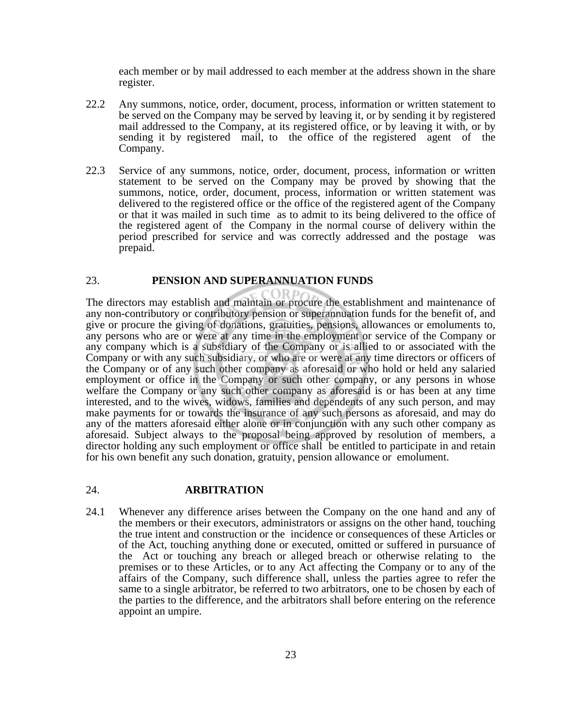each member or by mail addressed to each member at the address shown in the share register.

- 22.2 Any summons, notice, order, document, process, information or written statement to be served on the Company may be served by leaving it, or by sending it by registered mail addressed to the Company, at its registered office, or by leaving it with, or by sending it by registered mail, to the office of the registered agent of the Company.
- 22.3 Service of any summons, notice, order, document, process, information or written statement to be served on the Company may be proved by showing that the summons, notice, order, document, process, information or written statement was delivered to the registered office or the office of the registered agent of the Company or that it was mailed in such time as to admit to its being delivered to the office of the registered agent of the Company in the normal course of delivery within the period prescribed for service and was correctly addressed and the postage was prepaid.

## 23. **PENSION AND SUPERANNUATION FUNDS**

The directors may establish and maintain or procure the establishment and maintenance of any non-contributory or contributory pension or superannuation funds for the benefit of, and give or procure the giving of donations, gratuities, pensions, allowances or emoluments to, any persons who are or were at any time in the employment or service of the Company or any company which is a subsidiary of the Company or is allied to or associated with the Company or with any such subsidiary, or who are or were at any time directors or officers of the Company or of any such other company as aforesaid or who hold or held any salaried employment or office in the Company or such other company, or any persons in whose welfare the Company or any such other company as aforesaid is or has been at any time interested, and to the wives, widows, families and dependents of any such person, and may make payments for or towards the insurance of any such persons as aforesaid, and may do any of the matters aforesaid either alone or in conjunction with any such other company as aforesaid. Subject always to the proposal being approved by resolution of members, a director holding any such employment or office shall be entitled to participate in and retain for his own benefit any such donation, gratuity, pension allowance or emolument.

#### 24. **ARBITRATION**

24.1 Whenever any difference arises between the Company on the one hand and any of the members or their executors, administrators or assigns on the other hand, touching the true intent and construction or the incidence or consequences of these Articles or of the Act, touching anything done or executed, omitted or suffered in pursuance of the Act or touching any breach or alleged breach or otherwise relating to the premises or to these Articles, or to any Act affecting the Company or to any of the affairs of the Company, such difference shall, unless the parties agree to refer the same to a single arbitrator, be referred to two arbitrators, one to be chosen by each of the parties to the difference, and the arbitrators shall before entering on the reference appoint an umpire.